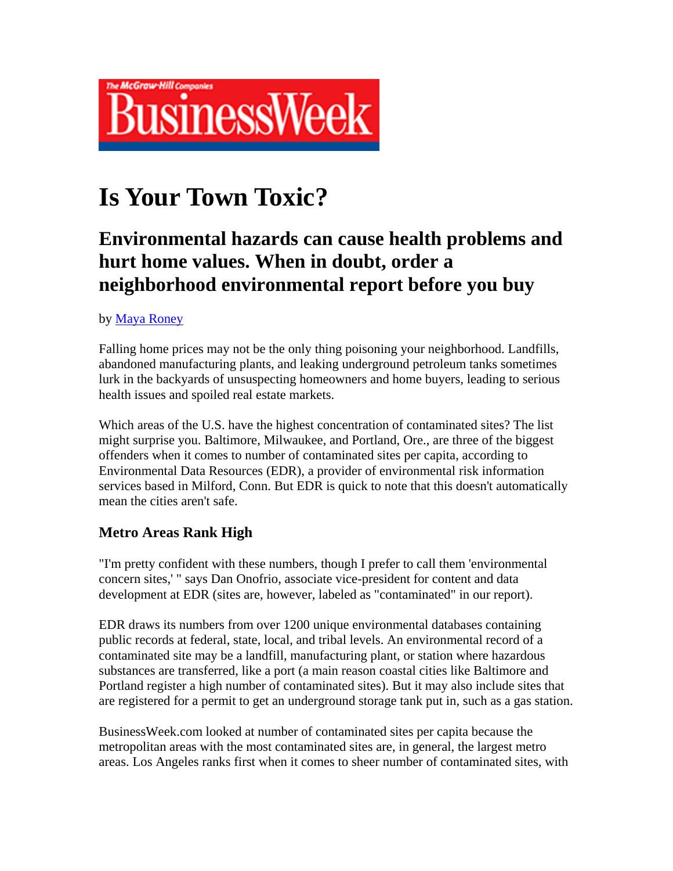

# **Is Your Town Toxic?**

## **Environmental hazards can cause health problems and hurt home values. When in doubt, order a neighborhood environmental report before you buy**

#### by Maya Roney

Falling home prices may not be the only thing poisoning your neighborhood. Landfills, abandoned manufacturing plants, and leaking underground petroleum tanks sometimes lurk in the backyards of unsuspecting homeowners and home buyers, leading to serious health issues and spoiled real estate markets.

Which areas of the U.S. have the highest concentration of contaminated sites? The list might surprise you. Baltimore, Milwaukee, and Portland, Ore., are three of the biggest offenders when it comes to number of contaminated sites per capita, according to Environmental Data Resources (EDR), a provider of environmental risk information services based in Milford, Conn. But EDR is quick to note that this doesn't automatically mean the cities aren't safe.

### **Metro Areas Rank High**

"I'm pretty confident with these numbers, though I prefer to call them 'environmental concern sites,' " says Dan Onofrio, associate vice-president for content and data development at EDR (sites are, however, labeled as "contaminated" in our report).

EDR draws its numbers from over 1200 unique environmental databases containing public records at federal, state, local, and tribal levels. An environmental record of a contaminated site may be a landfill, manufacturing plant, or station where hazardous substances are transferred, like a port (a main reason coastal cities like Baltimore and Portland register a high number of contaminated sites). But it may also include sites that are registered for a permit to get an underground storage tank put in, such as a gas station.

BusinessWeek.com looked at number of contaminated sites per capita because the metropolitan areas with the most contaminated sites are, in general, the largest metro areas. Los Angeles ranks first when it comes to sheer number of contaminated sites, with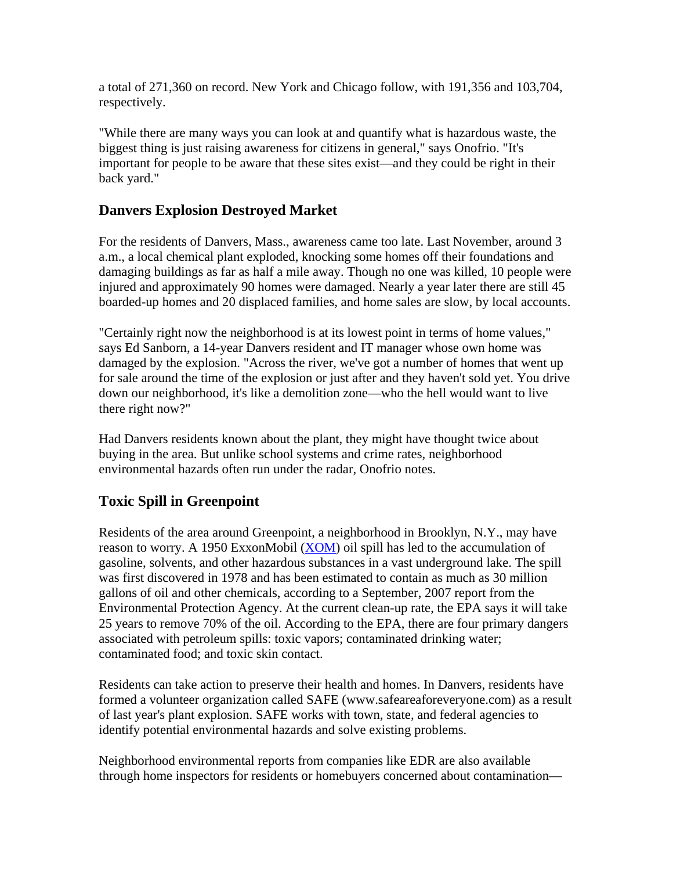a total of 271,360 on record. New York and Chicago follow, with 191,356 and 103,704, respectively.

"While there are many ways you can look at and quantify what is hazardous waste, the biggest thing is just raising awareness for citizens in general," says Onofrio. "It's important for people to be aware that these sites exist—and they could be right in their back yard."

#### **Danvers Explosion Destroyed Market**

For the residents of Danvers, Mass., awareness came too late. Last November, around 3 a.m., a local chemical plant exploded, knocking some homes off their foundations and damaging buildings as far as half a mile away. Though no one was killed, 10 people were injured and approximately 90 homes were damaged. Nearly a year later there are still 45 boarded-up homes and 20 displaced families, and home sales are slow, by local accounts.

"Certainly right now the neighborhood is at its lowest point in terms of home values," says Ed Sanborn, a 14-year Danvers resident and IT manager whose own home was damaged by the explosion. "Across the river, we've got a number of homes that went up for sale around the time of the explosion or just after and they haven't sold yet. You drive down our neighborhood, it's like a demolition zone—who the hell would want to live there right now?"

Had Danvers residents known about the plant, they might have thought twice about buying in the area. But unlike school systems and crime rates, neighborhood environmental hazards often run under the radar, Onofrio notes.

### **Toxic Spill in Greenpoint**

Residents of the area around Greenpoint, a neighborhood in Brooklyn, N.Y., may have reason to worry. A 1950 ExxonMobil (XOM) oil spill has led to the accumulation of gasoline, solvents, and other hazardous substances in a vast underground lake. The spill was first discovered in 1978 and has been estimated to contain as much as 30 million gallons of oil and other chemicals, according to a September, 2007 report from the Environmental Protection Agency. At the current clean-up rate, the EPA says it will take 25 years to remove 70% of the oil. According to the EPA, there are four primary dangers associated with petroleum spills: toxic vapors; contaminated drinking water; contaminated food; and toxic skin contact.

Residents can take action to preserve their health and homes. In Danvers, residents have formed a volunteer organization called SAFE (www.safeareaforeveryone.com) as a result of last year's plant explosion. SAFE works with town, state, and federal agencies to identify potential environmental hazards and solve existing problems.

Neighborhood environmental reports from companies like EDR are also available through home inspectors for residents or homebuyers concerned about contamination